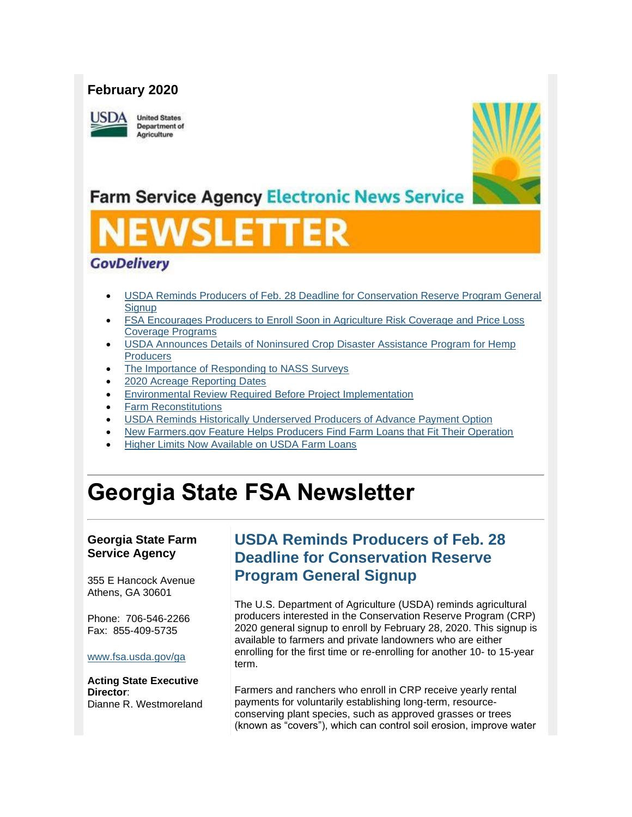## **February 2020**

USDA

**United States Department of** Agriculture



## **Farm Service Agency Electronic News Service**

# SLET

## **GovDelivery**

- [USDA Reminds Producers of Feb. 28 Deadline for Conservation Reserve Program General](#page-0-0)  **[Signup](#page-0-0)**
- [FSA Encourages Producers to Enroll Soon in Agriculture Risk Coverage and Price Loss](#page-1-0)  [Coverage Programs](#page-1-0)
- [USDA Announces Details of Noninsured Crop Disaster Assistance Program for Hemp](#page-2-0)  **[Producers](#page-2-0)**
- [The Importance of Responding to NASS Surveys](#page-3-0)
- [2020 Acreage Reporting Dates](#page-3-1)
- [Environmental Review Required Before Project Implementation](#page-4-0)
- [Farm Reconstitutions](#page-5-0)
- [USDA Reminds Historically Underserved Producers of Advance Payment Option](#page-5-1)
- New Farmers.gov Feature [Helps Producers Find Farm Loans that Fit Their Operation](#page-6-0)
- [Higher Limits Now Available on USDA Farm Loans](#page-7-0)

## **Georgia State FSA Newsletter**

### **Georgia State Farm Service Agency**

355 E Hancock Avenue Athens, GA 30601

Phone: 706-546-2266 Fax: 855-409-5735

#### [www.fsa.usda.gov/ga](https://gcc02.safelinks.protection.outlook.com/?url=http%3A%2F%2Fwww.fsa.usda.gov%2Fxx%3Futm_medium%3Demail%26utm_source%3Dgovdelivery&data=02%7C01%7C%7C5bfaeedd92e742775b9b08d7b6f99903%7Ced5b36e701ee4ebc867ee03cfa0d4697%7C0%7C0%7C637179055444008291&sdata=hPSnyVxANo84JuXPV2hLgOZT2tmnJjgNofBodN19vZg%3D&reserved=0)

#### **Acting State Executive Director**: Dianne R. Westmoreland

## <span id="page-0-0"></span>**USDA Reminds Producers of Feb. 28 Deadline for Conservation Reserve Program General Signup**

The U.S. Department of Agriculture (USDA) reminds agricultural producers interested in the Conservation Reserve Program (CRP) 2020 general signup to enroll by February 28, 2020. This signup is available to farmers and private landowners who are either enrolling for the first time or re-enrolling for another 10- to 15-year term.

Farmers and ranchers who enroll in CRP receive yearly rental payments for voluntarily establishing long-term, resourceconserving plant species, such as approved grasses or trees (known as "covers"), which can control soil erosion, improve water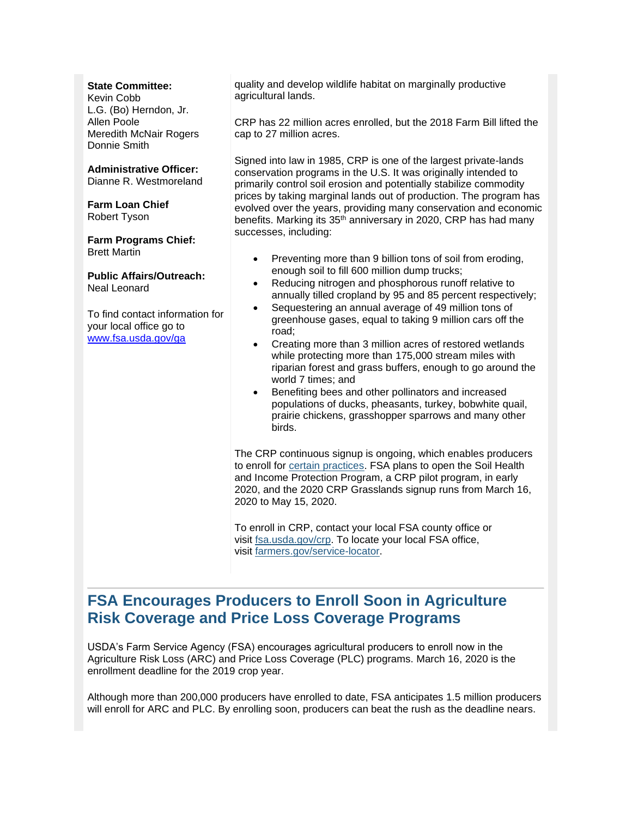#### **State Committee:**

Kevin Cobb L.G. (Bo) Herndon, Jr. Allen Poole Meredith McNair Rogers Donnie Smith

**Administrative Officer:** Dianne R. Westmoreland

**Farm Loan Chief** Robert Tyson

#### **Farm Programs Chief:** Brett Martin

**Public Affairs/Outreach:** Neal Leonard

To find contact information for your local office go to [www.fsa.usda.gov/ga](http://www.fsa.usda.gov/ga)

quality and develop wildlife habitat on marginally productive agricultural lands.

CRP has 22 million acres enrolled, but the 2018 Farm Bill lifted the cap to 27 million acres.

Signed into law in 1985, CRP is one of the largest private-lands conservation programs in the U.S. It was originally intended to primarily control soil erosion and potentially stabilize commodity prices by taking marginal lands out of production. The program has evolved over the years, providing many conservation and economic benefits. Marking its 35<sup>th</sup> anniversary in 2020, CRP has had many successes, including:

- Preventing more than 9 billion tons of soil from eroding, enough soil to fill 600 million dump trucks;
- Reducing nitrogen and phosphorous runoff relative to annually tilled cropland by 95 and 85 percent respectively;
- Sequestering an annual average of 49 million tons of greenhouse gases, equal to taking 9 million cars off the road;
- Creating more than 3 million acres of restored wetlands while protecting more than 175,000 stream miles with riparian forest and grass buffers, enough to go around the world 7 times; and
- Benefiting bees and other pollinators and increased populations of ducks, pheasants, turkey, bobwhite quail, prairie chickens, grasshopper sparrows and many other birds.

The CRP continuous signup is ongoing, which enables producers to enroll for [certain practices.](https://gcc02.safelinks.protection.outlook.com/?url=https%3A%2F%2Fwww.fsa.usda.gov%2FAssets%2FUSDA-FSA-Public%2Fusdafiles%2FFactSheets%2F2019%2Fcrp_continuous_enrollment_period-fact_sheet.pdf%3Futm_medium%3Demail%26utm_source%3Dgovdelivery&data=02%7C01%7C%7C5bfaeedd92e742775b9b08d7b6f99903%7Ced5b36e701ee4ebc867ee03cfa0d4697%7C0%7C1%7C637179055444013270&sdata=JE1tCgm4XSs3bMjJm649B2xdpkBsClWA3yNj7%2Bek4OU%3D&reserved=0) FSA plans to open the Soil Health and Income Protection Program, a CRP pilot program, in early 2020, and the 2020 CRP Grasslands signup runs from March 16, 2020 to May 15, 2020.

To enroll in CRP, contact your local FSA county office or visit [fsa.usda.gov/crp.](https://gcc02.safelinks.protection.outlook.com/?url=https%3A%2F%2Fwww.fsa.usda.gov%2Fprograms-and-services%2Fconservation-programs%2Fconservation-reserve-program%2Findex%3Futm_medium%3Demail%26utm_source%3Dgovdelivery&data=02%7C01%7C%7C5bfaeedd92e742775b9b08d7b6f99903%7Ced5b36e701ee4ebc867ee03cfa0d4697%7C0%7C0%7C637179055444018246&sdata=t2qGB23Wi2EOyzB4qqqJaNAwGKcLvywEz26XqCZI6r8%3D&reserved=0) To locate your local FSA office, visit [farmers.gov/service-locator.](https://www.farmers.gov/service-center-locator?utm_medium=email&utm_source=govdelivery)

## <span id="page-1-0"></span>**FSA Encourages Producers to Enroll Soon in Agriculture Risk Coverage and Price Loss Coverage Programs**

USDA's Farm Service Agency (FSA) encourages agricultural producers to enroll now in the Agriculture Risk Loss (ARC) and Price Loss Coverage (PLC) programs. March 16, 2020 is the enrollment deadline for the 2019 crop year.

Although more than 200,000 producers have enrolled to date, FSA anticipates 1.5 million producers will enroll for ARC and PLC. By enrolling soon, producers can beat the rush as the deadline nears.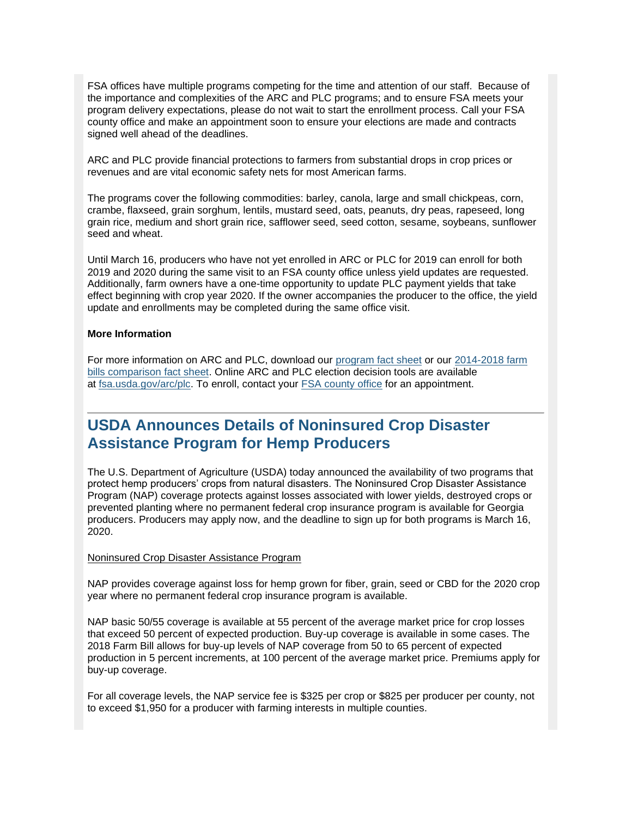FSA offices have multiple programs competing for the time and attention of our staff. Because of the importance and complexities of the ARC and PLC programs; and to ensure FSA meets your program delivery expectations, please do not wait to start the enrollment process. Call your FSA county office and make an appointment soon to ensure your elections are made and contracts signed well ahead of the deadlines.

ARC and PLC provide financial protections to farmers from substantial drops in crop prices or revenues and are vital economic safety nets for most American farms.

The programs cover the following commodities: barley, canola, large and small chickpeas, corn, crambe, flaxseed, grain sorghum, lentils, mustard seed, oats, peanuts, dry peas, rapeseed, long grain rice, medium and short grain rice, safflower seed, seed cotton, sesame, soybeans, sunflower seed and wheat.

Until March 16, producers who have not yet enrolled in ARC or PLC for 2019 can enroll for both 2019 and 2020 during the same visit to an FSA county office unless yield updates are requested. Additionally, farm owners have a one-time opportunity to update PLC payment yields that take effect beginning with crop year 2020. If the owner accompanies the producer to the office, the yield update and enrollments may be completed during the same office visit.

#### **More Information**

For more information on ARC and PLC, download our [program fact sheet](https://gcc02.safelinks.protection.outlook.com/?data=02%7C01%7C%7Ce90faadfc63e47d45f7508d799d0b87e%7Ced5b36e701ee4ebc867ee03cfa0d4697%7C0%7C0%7C637146994033875406&reserved=0&sdata=JK5MDjrAUaio%2Fj9PfP8gvgj5Q%2FVuu1iESaY7mGbkP1U%3D&url=https%3A%2F%2Fwww.fsa.usda.gov%2FAssets%2FUSDA-FSA-Public%2Fusdafiles%2FFactSheets%2F2019%2Farc-plc_overview_fact_sheet-aug_2019.pdf%3Futm_medium%3Demail%26utm_source%3Dgovdelivery&utm_medium=email&utm_source=govdelivery) or our 2014-2018 farm [bills comparison fact sheet.](https://gcc02.safelinks.protection.outlook.com/?data=02%7C01%7C%7Ce90faadfc63e47d45f7508d799d0b87e%7Ced5b36e701ee4ebc867ee03cfa0d4697%7C0%7C0%7C637146994033875406&reserved=0&sdata=ztcHobFxbL0rhSEWwUBR2SPvSYdTuc8jUk4oI2vUG54%3D&url=https%3A%2F%2Fwww.fsa.usda.gov%2FAssets%2FUSDA-FSA-Public%2Fusdafiles%2FFactSheets%2F2019%2Farc-plc_farm_bill_comparisons-fact_sheet-aug-2019.pdf%3Futm_medium%3Demail%26utm_source%3Dgovdelivery&utm_medium=email&utm_source=govdelivery) Online ARC and PLC election decision tools are available at [fsa.usda.gov/arc/plc.](https://gcc02.safelinks.protection.outlook.com/?url=https%3A%2F%2Fwww.fsa.usda.gov%2Fprograms-and-services%2Farcplc_program%2Findex%3Futm_medium%3Demail%26utm_source%3Dgovdelivery&data=02%7C01%7C%7C5bfaeedd92e742775b9b08d7b6f99903%7Ced5b36e701ee4ebc867ee03cfa0d4697%7C0%7C0%7C637179055444023225&sdata=DctJ9U3Csdl4eYNJFiZxOn2kosmB7vLi18ps72QE%2FUw%3D&reserved=0) To enroll, contact your [FSA county office](https://www.farmers.gov/service-locator?utm_medium=email&utm_source=govdelivery) for an appointment.

## <span id="page-2-0"></span>**USDA Announces Details of Noninsured Crop Disaster Assistance Program for Hemp Producers**

The U.S. Department of Agriculture (USDA) today announced the availability of two programs that protect hemp producers' crops from natural disasters. The Noninsured Crop Disaster Assistance Program (NAP) coverage protects against losses associated with lower yields, destroyed crops or prevented planting where no permanent federal crop insurance program is available for Georgia producers. Producers may apply now, and the deadline to sign up for both programs is March 16, 2020.

#### Noninsured Crop Disaster Assistance Program

NAP provides coverage against loss for hemp grown for fiber, grain, seed or CBD for the 2020 crop year where no permanent federal crop insurance program is available.

NAP basic 50/55 coverage is available at 55 percent of the average market price for crop losses that exceed 50 percent of expected production. Buy-up coverage is available in some cases. The 2018 Farm Bill allows for buy-up levels of NAP coverage from 50 to 65 percent of expected production in 5 percent increments, at 100 percent of the average market price. Premiums apply for buy-up coverage.

For all coverage levels, the NAP service fee is \$325 per crop or \$825 per producer per county, not to exceed \$1,950 for a producer with farming interests in multiple counties.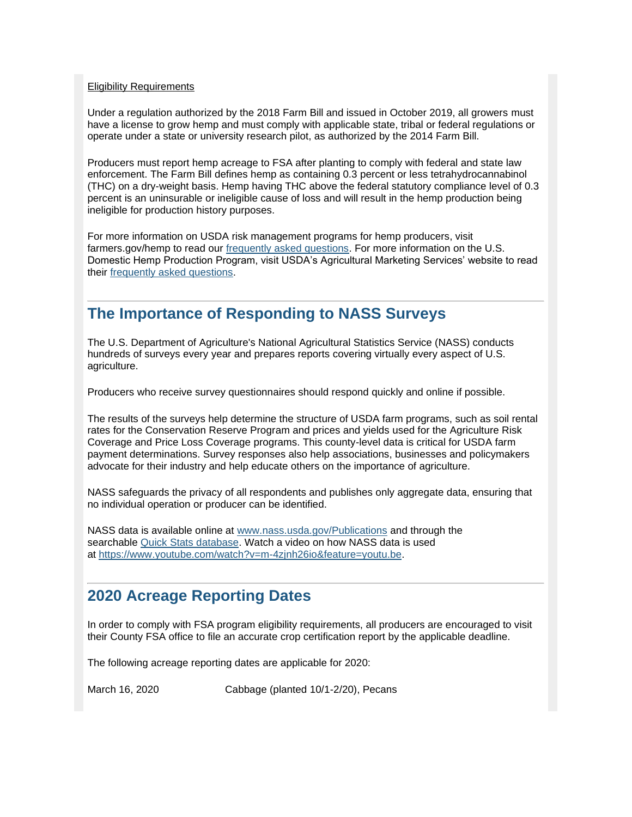#### Eligibility Requirements

Under a regulation authorized by the 2018 Farm Bill and issued in October 2019, all growers must have a license to grow hemp and must comply with applicable state, tribal or federal regulations or operate under a state or university research pilot, as authorized by the 2014 Farm Bill.

Producers must report hemp acreage to FSA after planting to comply with federal and state law enforcement. The Farm Bill defines hemp as containing 0.3 percent or less tetrahydrocannabinol (THC) on a dry-weight basis. Hemp having THC above the federal statutory compliance level of 0.3 percent is an uninsurable or ineligible cause of loss and will result in the hemp production being ineligible for production history purposes.

For more information on USDA risk management programs for hemp producers, visit farmers.gov/hemp to read our [frequently asked questions.](http://www.farmers.gov/manage/hemp/FAQs?utm_medium=email&utm_source=govdelivery) For more information on the U.S. Domestic Hemp Production Program, visit USDA's Agricultural Marketing Services' website to read their [frequently asked questions.](https://gcc02.safelinks.protection.outlook.com/?url=https%3A%2F%2Fwww.ams.usda.gov%2Frules-regulations%2Fhemp%2Fquestions-and-answers%3Futm_medium%3Demail%26utm_source%3Dgovdelivery&data=02%7C01%7C%7C5bfaeedd92e742775b9b08d7b6f99903%7Ced5b36e701ee4ebc867ee03cfa0d4697%7C0%7C0%7C637179055444033181&sdata=oaa790SeLgwlolCrDXZitVa6HK2EWnc54IVeImEYiGE%3D&reserved=0)

## <span id="page-3-0"></span>**The Importance of Responding to NASS Surveys**

The U.S. Department of Agriculture's National Agricultural Statistics Service (NASS) conducts hundreds of surveys every year and prepares reports covering virtually every aspect of U.S. agriculture.

Producers who receive survey questionnaires should respond quickly and online if possible.

The results of the surveys help determine the structure of USDA farm programs, such as soil rental rates for the Conservation Reserve Program and prices and yields used for the Agriculture Risk Coverage and Price Loss Coverage programs. This county-level data is critical for USDA farm payment determinations. Survey responses also help associations, businesses and policymakers advocate for their industry and help educate others on the importance of agriculture.

NASS safeguards the privacy of all respondents and publishes only aggregate data, ensuring that no individual operation or producer can be identified.

NASS data is available online at [www.nass.usda.gov/Publications](https://gcc02.safelinks.protection.outlook.com/?url=https%3A%2F%2Fwww.nass.usda.gov%2FPublications%2Findex.php%3Futm_medium%3Demail%26utm_source%3Dgovdelivery&data=02%7C01%7C%7C5bfaeedd92e742775b9b08d7b6f99903%7Ced5b36e701ee4ebc867ee03cfa0d4697%7C0%7C1%7C637179055444033181&sdata=9HHXeFMF3ip0voLoWh7wW8io14yPPajYIQDAiG214EA%3D&reserved=0) and through the searchable [Quick Stats database.](https://gcc02.safelinks.protection.outlook.com/?url=https%3A%2F%2Fquickstats.nass.usda.gov%2F%3Futm_medium%3Demail%26utm_source%3Dgovdelivery&data=02%7C01%7C%7C5bfaeedd92e742775b9b08d7b6f99903%7Ced5b36e701ee4ebc867ee03cfa0d4697%7C0%7C1%7C637179055444038158&sdata=ElVYSPZq4%2BE%2B3z%2Fg%2BZOH2l%2BOfCSw7a8206A37vgIDvM%3D&reserved=0) Watch a video on how NASS data is used at [https://www.youtube.com/watch?v=m-4zjnh26io&feature=youtu.be.](https://gcc02.safelinks.protection.outlook.com/?url=https%3A%2F%2Fwww.youtube.com%2Fwatch%3Ffeature%3Dyoutu.be%26utm_medium%3Demail%26utm_source%3Dgovdelivery%26v%3Dm-4zjnh26io&data=02%7C01%7C%7C5bfaeedd92e742775b9b08d7b6f99903%7Ced5b36e701ee4ebc867ee03cfa0d4697%7C0%7C0%7C637179055444043138&sdata=mPGXsksgKfePz6MWnNWlak4dZYUsZjA7ZToHbUrxgF8%3D&reserved=0)

## <span id="page-3-1"></span>**2020 Acreage Reporting Dates**

In order to comply with FSA program eligibility requirements, all producers are encouraged to visit their County FSA office to file an accurate crop certification report by the applicable deadline.

The following acreage reporting dates are applicable for 2020:

March 16, 2020 Cabbage (planted 10/1-2/20), Pecans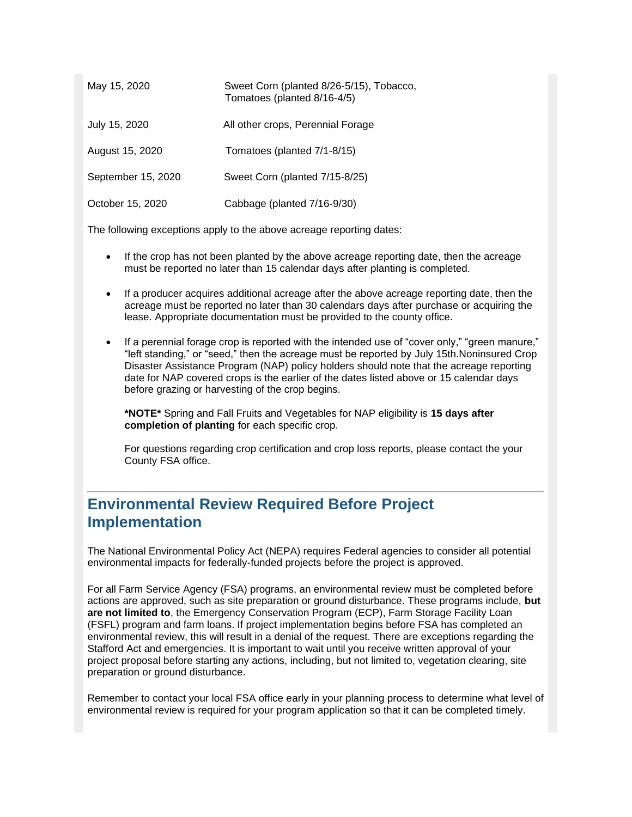| May 15, 2020       | Sweet Corn (planted 8/26-5/15), Tobacco,<br>Tomatoes (planted 8/16-4/5) |
|--------------------|-------------------------------------------------------------------------|
| July 15, 2020      | All other crops, Perennial Forage                                       |
| August 15, 2020    | Tomatoes (planted 7/1-8/15)                                             |
| September 15, 2020 | Sweet Corn (planted 7/15-8/25)                                          |
| October 15, 2020   | Cabbage (planted 7/16-9/30)                                             |

The following exceptions apply to the above acreage reporting dates:

- If the crop has not been planted by the above acreage reporting date, then the acreage must be reported no later than 15 calendar days after planting is completed.
- If a producer acquires additional acreage after the above acreage reporting date, then the acreage must be reported no later than 30 calendars days after purchase or acquiring the lease. Appropriate documentation must be provided to the county office.
- If a perennial forage crop is reported with the intended use of "cover only," "green manure," "left standing," or "seed," then the acreage must be reported by July 15th.Noninsured Crop Disaster Assistance Program (NAP) policy holders should note that the acreage reporting date for NAP covered crops is the earlier of the dates listed above or 15 calendar days before grazing or harvesting of the crop begins.

**\*NOTE\*** Spring and Fall Fruits and Vegetables for NAP eligibility is **15 days after completion of planting** for each specific crop.

For questions regarding crop certification and crop loss reports, please contact the your County FSA office.

## <span id="page-4-0"></span>**Environmental Review Required Before Project Implementation**

The National Environmental Policy Act (NEPA) requires Federal agencies to consider all potential environmental impacts for federally-funded projects before the project is approved.

For all Farm Service Agency (FSA) programs, an environmental review must be completed before actions are approved, such as site preparation or ground disturbance. These programs include, **but are not limited to**, the Emergency Conservation Program (ECP), Farm Storage Facility Loan (FSFL) program and farm loans. If project implementation begins before FSA has completed an environmental review, this will result in a denial of the request. There are exceptions regarding the Stafford Act and emergencies. It is important to wait until you receive written approval of your project proposal before starting any actions, including, but not limited to, vegetation clearing, site preparation or ground disturbance.

Remember to contact your local FSA office early in your planning process to determine what level of environmental review is required for your program application so that it can be completed timely.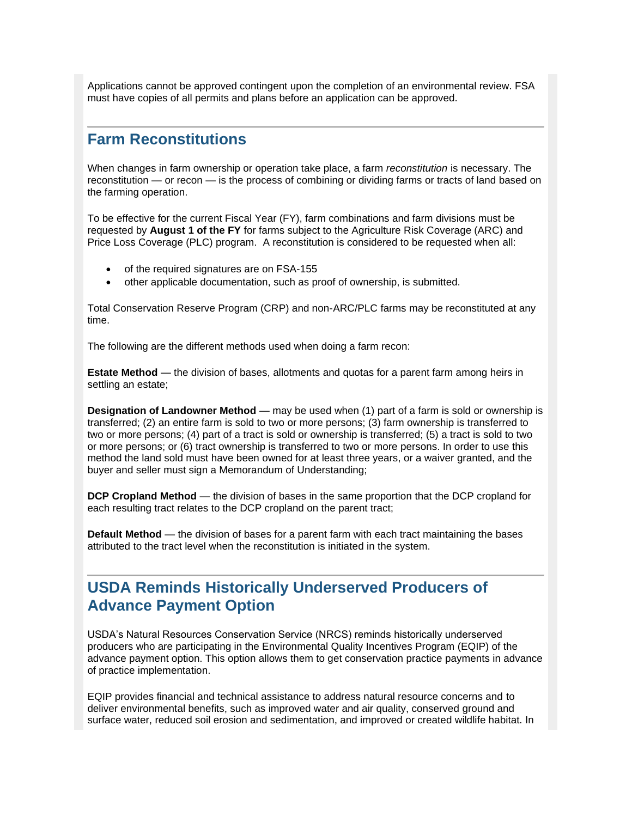Applications cannot be approved contingent upon the completion of an environmental review. FSA must have copies of all permits and plans before an application can be approved.

## <span id="page-5-0"></span>**Farm Reconstitutions**

When changes in farm ownership or operation take place, a farm *reconstitution* is necessary. The reconstitution — or recon — is the process of combining or dividing farms or tracts of land based on the farming operation.

To be effective for the current Fiscal Year (FY), farm combinations and farm divisions must be requested by **August 1 of the FY** for farms subject to the Agriculture Risk Coverage (ARC) and Price Loss Coverage (PLC) program. A reconstitution is considered to be requested when all:

- of the required signatures are on FSA-155
- other applicable documentation, such as proof of ownership, is submitted.

Total Conservation Reserve Program (CRP) and non-ARC/PLC farms may be reconstituted at any time.

The following are the different methods used when doing a farm recon:

**Estate Method** — the division of bases, allotments and quotas for a parent farm among heirs in settling an estate;

**Designation of Landowner Method** — may be used when (1) part of a farm is sold or ownership is transferred; (2) an entire farm is sold to two or more persons; (3) farm ownership is transferred to two or more persons; (4) part of a tract is sold or ownership is transferred; (5) a tract is sold to two or more persons; or (6) tract ownership is transferred to two or more persons. In order to use this method the land sold must have been owned for at least three years, or a waiver granted, and the buyer and seller must sign a Memorandum of Understanding;

**DCP Cropland Method** — the division of bases in the same proportion that the DCP cropland for each resulting tract relates to the DCP cropland on the parent tract;

**Default Method** — the division of bases for a parent farm with each tract maintaining the bases attributed to the tract level when the reconstitution is initiated in the system.

## <span id="page-5-1"></span>**USDA Reminds Historically Underserved Producers of Advance Payment Option**

USDA's Natural Resources Conservation Service (NRCS) reminds historically underserved producers who are participating in the Environmental Quality Incentives Program (EQIP) of the advance payment option. This option allows them to get conservation practice payments in advance of practice implementation.

EQIP provides financial and technical assistance to address natural resource concerns and to deliver environmental benefits, such as improved water and air quality, conserved ground and surface water, reduced soil erosion and sedimentation, and improved or created wildlife habitat. In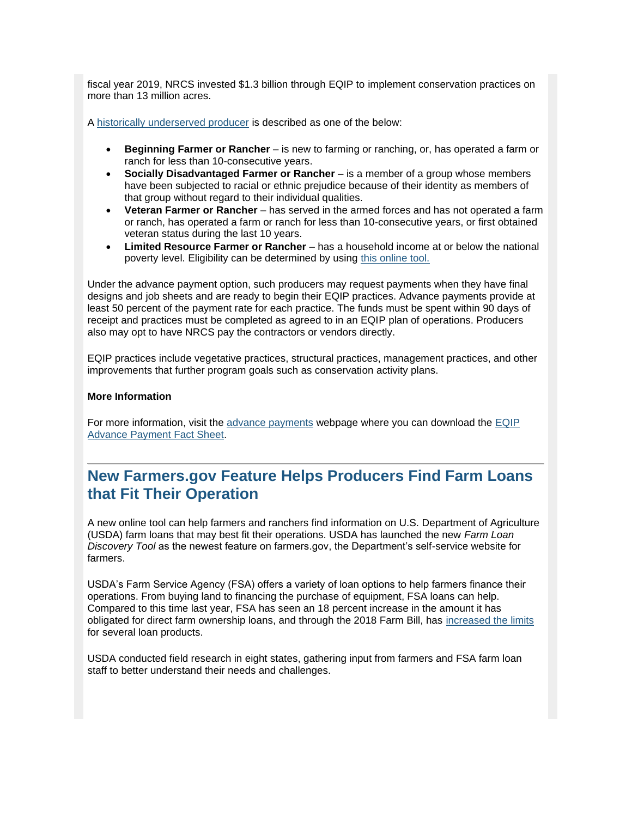fiscal year 2019, NRCS invested \$1.3 billion through EQIP to implement conservation practices on more than 13 million acres.

A [historically underserved producer](https://gcc02.safelinks.protection.outlook.com/?url=https%3A%2F%2Fwww.nrcs.usda.gov%2Fwps%2Fportal%2Fnrcs%2Fmain%2Fnational%2Fpeople%2Foutreach%2Fslbfr%3Futm_medium%3Demail%26utm_source%3Dgovdelivery&data=02%7C01%7C%7C5bfaeedd92e742775b9b08d7b6f99903%7Ced5b36e701ee4ebc867ee03cfa0d4697%7C0%7C0%7C637179055444048114&sdata=NDLBAwcNH88jXFq6u0Dgtc4tluQh49qw2RMLL5jcjBM%3D&reserved=0) is described as one of the below:

- **Beginning Farmer or Rancher** is new to farming or ranching, or, has operated a farm or ranch for less than 10-consecutive years.
- **Socially Disadvantaged Farmer or Rancher** is a member of a group whose members have been subjected to racial or ethnic prejudice because of their identity as members of that group without regard to their individual qualities.
- **Veteran Farmer or Rancher**  has served in the armed forces and has not operated a farm or ranch, has operated a farm or ranch for less than 10-consecutive years, or first obtained veteran status during the last 10 years.
- **Limited Resource Farmer or Rancher** has a household income at or below the national poverty level. Eligibility can be determined by using [this online tool.](https://lrftool.sc.egov.usda.gov/?utm_medium=email&utm_source=govdelivery)

Under the advance payment option, such producers may request payments when they have final designs and job sheets and are ready to begin their EQIP practices. Advance payments provide at least 50 percent of the payment rate for each practice. The funds must be spent within 90 days of receipt and practices must be completed as agreed to in an EQIP plan of operations. Producers also may opt to have NRCS pay the contractors or vendors directly.

EQIP practices include vegetative practices, structural practices, management practices, and other improvements that further program goals such as conservation activity plans.

#### **More Information**

For more information, visit the [advance payments](https://gcc02.safelinks.protection.outlook.com/?url=https%3A%2F%2Fwww.nrcs.usda.gov%2Fwps%2Fportal%2Fnrcs%2Fdetail%2Fnational%2Fprograms%2Ffinancial%2Feqip%2F%3Fcid%3Dnrcseprd1502414%26utm_medium%3Demail%26utm_source%3Dgovdelivery&data=02%7C01%7C%7C5bfaeedd92e742775b9b08d7b6f99903%7Ced5b36e701ee4ebc867ee03cfa0d4697%7C0%7C0%7C637179055444053093&sdata=s7AbWWB316AfYgSjKmuQynV51UupuAXVC2sn9RL77m4%3D&reserved=0) webpage where you can download the [EQIP](https://gcc02.safelinks.protection.outlook.com/?url=https%3A%2F%2Fwww.nrcs.usda.gov%2Fwps%2FPA_NRCSConsumption%2Fdownload%3Fcid%3Dnrcseprd1504014%26ext%3Dpdf%26utm_medium%3Demail%26utm_source%3Dgovdelivery&data=02%7C01%7C%7C5bfaeedd92e742775b9b08d7b6f99903%7Ced5b36e701ee4ebc867ee03cfa0d4697%7C0%7C0%7C637179055444058072&sdata=KnjPLfkQ9b2DYtPlVt2TBYK1fLlGTYO8fWftspM15sk%3D&reserved=0)  [Advance Payment Fact Sheet.](https://gcc02.safelinks.protection.outlook.com/?url=https%3A%2F%2Fwww.nrcs.usda.gov%2Fwps%2FPA_NRCSConsumption%2Fdownload%3Fcid%3Dnrcseprd1504014%26ext%3Dpdf%26utm_medium%3Demail%26utm_source%3Dgovdelivery&data=02%7C01%7C%7C5bfaeedd92e742775b9b08d7b6f99903%7Ced5b36e701ee4ebc867ee03cfa0d4697%7C0%7C0%7C637179055444058072&sdata=KnjPLfkQ9b2DYtPlVt2TBYK1fLlGTYO8fWftspM15sk%3D&reserved=0)

## <span id="page-6-0"></span>**New Farmers.gov Feature Helps Producers Find Farm Loans that Fit Their Operation**

A new online tool can help farmers and ranchers find information on U.S. Department of Agriculture (USDA) farm loans that may best fit their operations. USDA has launched the new *Farm Loan Discovery Tool* as the newest feature on farmers.gov, the Department's self-service website for farmers.

USDA's Farm Service Agency (FSA) offers a variety of loan options to help farmers finance their operations. From buying land to financing the purchase of equipment, FSA loans can help. Compared to this time last year, FSA has seen an 18 percent increase in the amount it has obligated for direct farm ownership loans, and through the 2018 Farm Bill, has [increased the limits](https://gcc02.safelinks.protection.outlook.com/?url=https%3A%2F%2Fwww.fsa.usda.gov%2Fnews-room%2Fnews-releases%2F2019%2Fhigher-limits-now-available-on-usda-farm-loans%3Futm_medium%3Demail%26utm_source%3Dgovdelivery&data=02%7C01%7C%7C5bfaeedd92e742775b9b08d7b6f99903%7Ced5b36e701ee4ebc867ee03cfa0d4697%7C0%7C0%7C637179055444063049&sdata=m1xCvIol6o2YRGWe0LnbfNZxPH9DYyvOGJfXbxoE9wU%3D&reserved=0) for several loan products.

USDA conducted field research in eight states, gathering input from farmers and FSA farm loan staff to better understand their needs and challenges.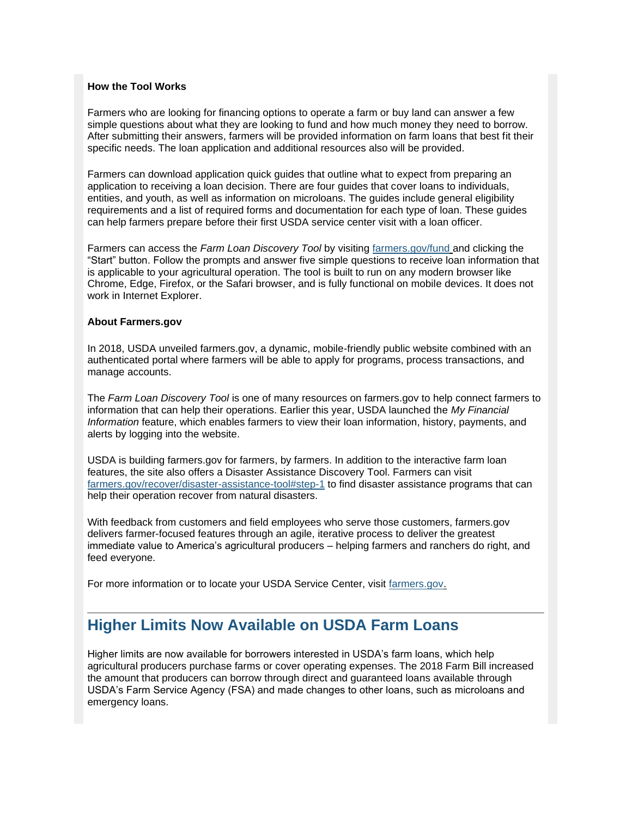#### **How the Tool Works**

Farmers who are looking for financing options to operate a farm or buy land can answer a few simple questions about what they are looking to fund and how much money they need to borrow. After submitting their answers, farmers will be provided information on farm loans that best fit their specific needs. The loan application and additional resources also will be provided.

Farmers can download application quick guides that outline what to expect from preparing an application to receiving a loan decision. There are four guides that cover loans to individuals, entities, and youth, as well as information on microloans. The guides include general eligibility requirements and a list of required forms and documentation for each type of loan. These guides can help farmers prepare before their first USDA service center visit with a loan officer.

Farmers can access the *Farm Loan Discovery Tool* by visiting [farmers.gov/fund](https://www.farmers.gov/fund?utm_medium=email&utm_source=govdelivery) and clicking the "Start" button. Follow the prompts and answer five simple questions to receive loan information that is applicable to your agricultural operation. The tool is built to run on any modern browser like Chrome, Edge, Firefox, or the Safari browser, and is fully functional on mobile devices. It does not work in Internet Explorer.

#### **About Farmers.gov**

In 2018, USDA unveiled farmers.gov, a dynamic, mobile-friendly public website combined with an authenticated portal where farmers will be able to apply for programs, process transactions, and manage accounts.

The *Farm Loan Discovery Tool* is one of many resources on farmers.gov to help connect farmers to information that can help their operations. Earlier this year, USDA launched the *My Financial Information* feature, which enables farmers to view their loan information, history, payments, and alerts by logging into the website.

USDA is building farmers.gov for farmers, by farmers. In addition to the interactive farm loan features, the site also offers a Disaster Assistance Discovery Tool. Farmers can visit [farmers.gov/recover/disaster-assistance-tool#step-1](https://www.farmers.gov/recover/disaster-assistance-tool?utm_medium=email&utm_source=govdelivery#step-1) to find disaster assistance programs that can help their operation recover from natural disasters.

With feedback from customers and field employees who serve those customers, farmers.gov delivers farmer-focused features through an agile, iterative process to deliver the greatest immediate value to America's agricultural producers – helping farmers and ranchers do right, and feed everyone.

For more information or to locate your USDA Service Center, visit [farmers.gov.](https://www.farmers.gov/?utm_medium=email&utm_source=govdelivery)

## <span id="page-7-0"></span>**Higher Limits Now Available on USDA Farm Loans**

Higher limits are now available for borrowers interested in USDA's farm loans, which help agricultural producers purchase farms or cover operating expenses. The 2018 Farm Bill increased the amount that producers can borrow through direct and guaranteed loans available through USDA's Farm Service Agency (FSA) and made changes to other loans, such as microloans and emergency loans.